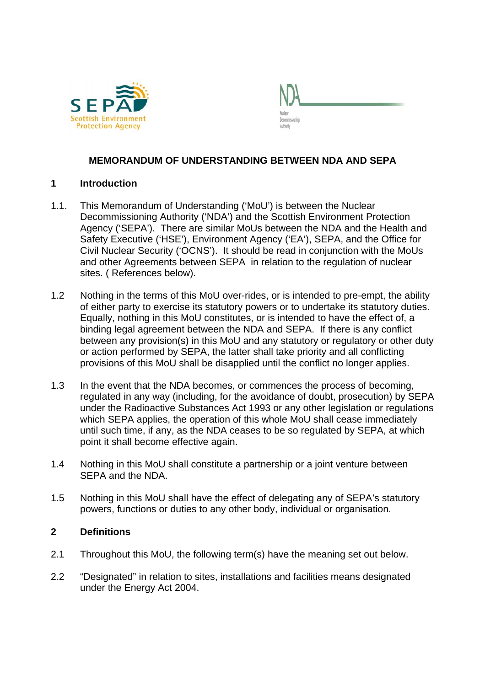



# **MEMORANDUM OF UNDERSTANDING BETWEEN NDA AND SEPA**

## **1 Introduction**

- 1.1. This Memorandum of Understanding ('MoU') is between the Nuclear Decommissioning Authority ('NDA') and the Scottish Environment Protection Agency ('SEPA'). There are similar MoUs between the NDA and the Health and Safety Executive ('HSE'), Environment Agency ('EA'), SEPA, and the Office for Civil Nuclear Security ('OCNS'). It should be read in conjunction with the MoUs and other Agreements between SEPA in relation to the regulation of nuclear sites. ( References below).
- 1.2 Nothing in the terms of this MoU over-rides, or is intended to pre-empt, the ability of either party to exercise its statutory powers or to undertake its statutory duties. Equally, nothing in this MoU constitutes, or is intended to have the effect of, a binding legal agreement between the NDA and SEPA. If there is any conflict between any provision(s) in this MoU and any statutory or regulatory or other duty or action performed by SEPA, the latter shall take priority and all conflicting provisions of this MoU shall be disapplied until the conflict no longer applies.
- 1.3 In the event that the NDA becomes, or commences the process of becoming, regulated in any way (including, for the avoidance of doubt, prosecution) by SEPA under the Radioactive Substances Act 1993 or any other legislation or regulations which SEPA applies, the operation of this whole MoU shall cease immediately until such time, if any, as the NDA ceases to be so regulated by SEPA, at which point it shall become effective again.
- 1.4 Nothing in this MoU shall constitute a partnership or a joint venture between SEPA and the NDA.
- 1.5 Nothing in this MoU shall have the effect of delegating any of SEPA's statutory powers, functions or duties to any other body, individual or organisation.

## **2 Definitions**

- 2.1 Throughout this MoU, the following term(s) have the meaning set out below.
- 2.2 "Designated" in relation to sites, installations and facilities means designated under the Energy Act 2004.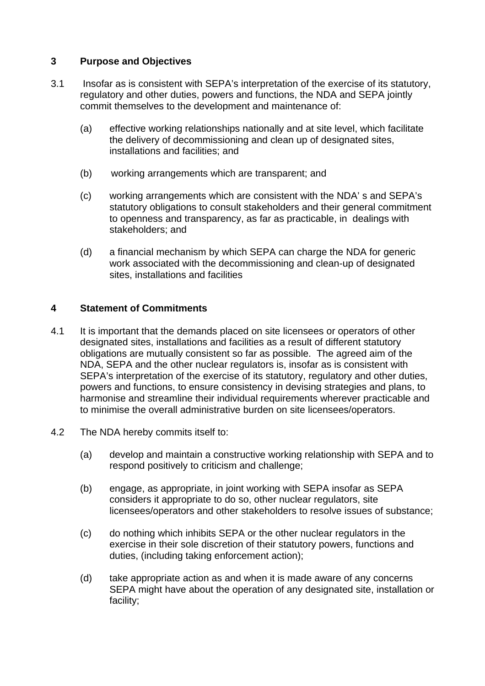# **3 Purpose and Objectives**

- 3.1 Insofar as is consistent with SEPA's interpretation of the exercise of its statutory, regulatory and other duties, powers and functions, the NDA and SEPA jointly commit themselves to the development and maintenance of:
	- (a) effective working relationships nationally and at site level, which facilitate the delivery of decommissioning and clean up of designated sites, installations and facilities; and
	- (b) working arrangements which are transparent; and
	- (c) working arrangements which are consistent with the NDA' s and SEPA's statutory obligations to consult stakeholders and their general commitment to openness and transparency, as far as practicable, in dealings with stakeholders; and
	- (d) a financial mechanism by which SEPA can charge the NDA for generic work associated with the decommissioning and clean-up of designated sites, installations and facilities

# **4 Statement of Commitments**

- 4.1 It is important that the demands placed on site licensees or operators of other designated sites, installations and facilities as a result of different statutory obligations are mutually consistent so far as possible. The agreed aim of the NDA, SEPA and the other nuclear regulators is, insofar as is consistent with SEPA's interpretation of the exercise of its statutory, regulatory and other duties, powers and functions, to ensure consistency in devising strategies and plans, to harmonise and streamline their individual requirements wherever practicable and to minimise the overall administrative burden on site licensees/operators.
- 4.2 The NDA hereby commits itself to:
	- (a) develop and maintain a constructive working relationship with SEPA and to respond positively to criticism and challenge;
	- (b) engage, as appropriate, in joint working with SEPA insofar as SEPA considers it appropriate to do so, other nuclear regulators, site licensees/operators and other stakeholders to resolve issues of substance;
	- (c) do nothing which inhibits SEPA or the other nuclear regulators in the exercise in their sole discretion of their statutory powers, functions and duties, (including taking enforcement action);
	- (d) take appropriate action as and when it is made aware of any concerns SEPA might have about the operation of any designated site, installation or facility;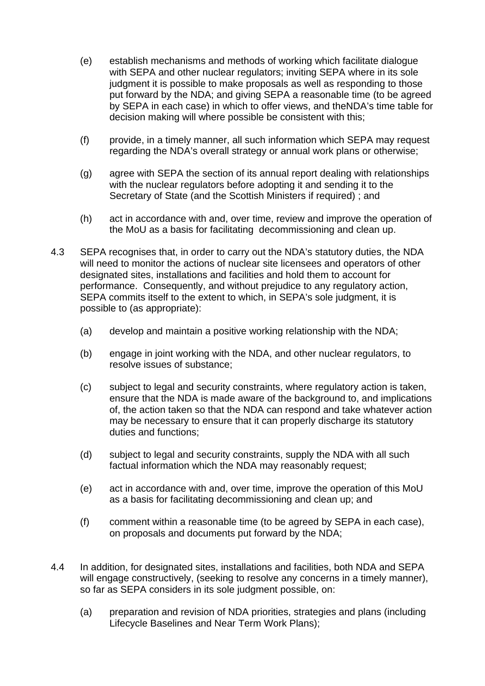- (e) establish mechanisms and methods of working which facilitate dialogue with SEPA and other nuclear regulators; inviting SEPA where in its sole judgment it is possible to make proposals as well as responding to those put forward by the NDA; and giving SEPA a reasonable time (to be agreed by SEPA in each case) in which to offer views, and theNDA's time table for decision making will where possible be consistent with this;
- (f) provide, in a timely manner, all such information which SEPA may request regarding the NDA's overall strategy or annual work plans or otherwise;
- (g) agree with SEPA the section of its annual report dealing with relationships with the nuclear regulators before adopting it and sending it to the Secretary of State (and the Scottish Ministers if required) ; and
- (h) act in accordance with and, over time, review and improve the operation of the MoU as a basis for facilitating decommissioning and clean up.
- 4.3 SEPA recognises that, in order to carry out the NDA's statutory duties, the NDA will need to monitor the actions of nuclear site licensees and operators of other designated sites, installations and facilities and hold them to account for performance. Consequently, and without prejudice to any regulatory action, SEPA commits itself to the extent to which, in SEPA's sole judgment, it is possible to (as appropriate):
	- (a) develop and maintain a positive working relationship with the NDA;
	- (b) engage in joint working with the NDA, and other nuclear regulators, to resolve issues of substance;
	- (c) subject to legal and security constraints, where regulatory action is taken, ensure that the NDA is made aware of the background to, and implications of, the action taken so that the NDA can respond and take whatever action may be necessary to ensure that it can properly discharge its statutory duties and functions;
	- (d) subject to legal and security constraints, supply the NDA with all such factual information which the NDA may reasonably request;
	- (e) act in accordance with and, over time, improve the operation of this MoU as a basis for facilitating decommissioning and clean up; and
	- (f) comment within a reasonable time (to be agreed by SEPA in each case), on proposals and documents put forward by the NDA;
- 4.4 In addition, for designated sites, installations and facilities, both NDA and SEPA will engage constructively, (seeking to resolve any concerns in a timely manner), so far as SEPA considers in its sole judgment possible, on:
	- (a) preparation and revision of NDA priorities, strategies and plans (including Lifecycle Baselines and Near Term Work Plans);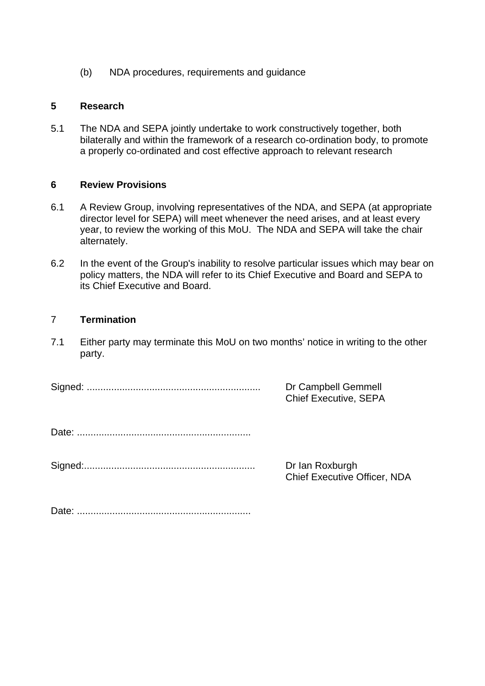(b) NDA procedures, requirements and guidance

## **5 Research**

5.1 The NDA and SEPA jointly undertake to work constructively together, both bilaterally and within the framework of a research co-ordination body, to promote a properly co-ordinated and cost effective approach to relevant research

## **6 Review Provisions**

- 6.1 A Review Group, involving representatives of the NDA, and SEPA (at appropriate director level for SEPA) will meet whenever the need arises, and at least every year, to review the working of this MoU. The NDA and SEPA will take the chair alternately.
- 6.2 In the event of the Group's inability to resolve particular issues which may bear on policy matters, the NDA will refer to its Chief Executive and Board and SEPA to its Chief Executive and Board.

# 7 **Termination**

7.1 Either party may terminate this MoU on two months' notice in writing to the other party.

Signed: ................................................................ Dr Campbell Gemmell

Chief Executive, SEPA

Date: ................................................................

Signed:............................................................... Dr Ian Roxburgh

Chief Executive Officer, NDA

Date: ................................................................